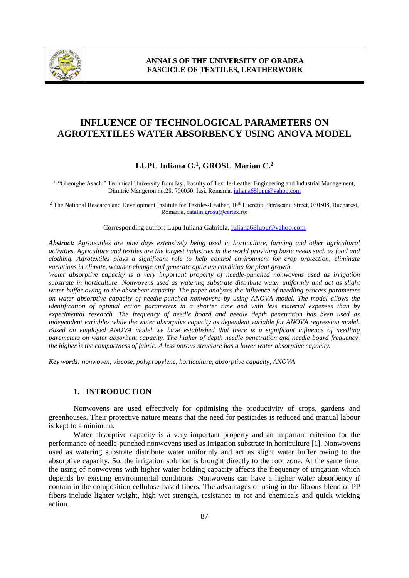

# **INFLUENCE OF TECHNOLOGICAL PARAMETERS ON AGROTEXTILES WATER ABSORBENCY USING ANOVA MODEL**

# **LUPU Iuliana G.<sup>1</sup> , GROSU Marian C.<sup>2</sup>**

1. "Gheorghe Asachi" Technical University from Iaşi, Faculty of Textile-Leather Engineering and Industrial Management, Dimitrie Mangeron no.28, 700050, Iaşi, Romania, [iuliana68lupu@yahoo.com](mailto:iuliana68lupu@yahoo.com)

<sup>2</sup> The National Research and Development Institute for Textiles-Leather, 16<sup>th</sup> Lucrețiu Pătrășcanu Street, 030508, Bucharest, Romania, [catalin.grosu@certex.ro:](mailto:catalin.grosu@certex.ro)

Corresponding author: Lupu Iuliana Gabriela, iuliana68lupu@yahoo.com

*Abstract: Agrotextiles are now days extensively being used in horticulture, farming and other agricultural activities. Agriculture and textiles are the largest industries in the world providing basic needs such as food and clothing. Agrotextiles plays a significant role to help control environment for crop protection, eliminate variations in climate, weather change and generate optimum condition for plant growth.* 

*Water absorptive capacity is a very important property of needle-punched nonwovens used as irrigation substrate in horticulture. Nonwovens used as watering substrate distribute water uniformly and act as slight water buffer owing to the absorbent capacity. The paper analyzes the influence of needling process parameters on water absorptive capacity of needle-punched nonwovens by using ANOVA model. The model allows the identification of optimal action parameters in a shorter time and with less material expenses than by experimental research. The frequency of needle board and needle depth penetration has been used as independent variables while the water absorptive capacity as dependent variable for ANOVA regression model. Based on employed ANOVA model we have established that there is a significant influence of needling parameters on water absorbent capacity. The higher of depth needle penetration and needle board frequency, the higher is the compactness of fabric. A less porous structure has a lower water absorptive capacity.*

*Key words: nonwoven, viscose, polypropylene, horticulture, absorptive capacity, ANOVA*

### **1. INTRODUCTION**

Nonwovens are used effectively for optimising the productivity of crops, gardens and greenhouses. Their protective nature means that the need for pesticides is reduced and manual labour is kept to a minimum.

Water absorptive capacity is a very important property and an important criterion for the performance of needle-punched nonwovens used as irrigation substrate in horticulture [1]. Nonwovens used as watering substrate distribute water uniformly and act as slight water buffer owing to the absorptive capacity. So, the irrigation solution is brought directly to the root zone. At the same time, the using of nonwovens with higher water holding capacity affects the frequency of irrigation which depends by existing environmental conditions. Nonwovens can have a higher water absorbency if contain in the composition cellulose-based fibers. The advantages of using in the fibrous blend of PP fibers include lighter weight, high wet strength, resistance to rot and chemicals and quick wicking action.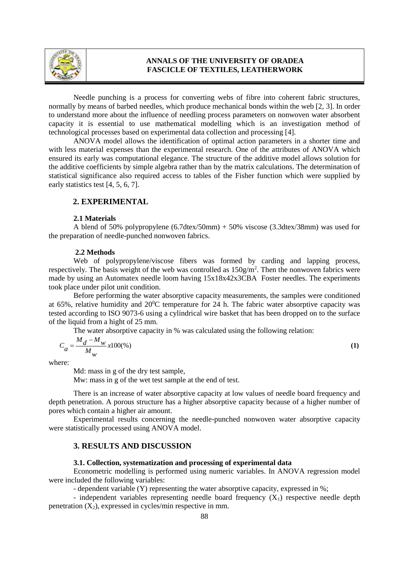

Needle punching is a process for converting webs of fibre into coherent fabric structures, normally by means of barbed needles, which produce mechanical bonds within the web [2, 3]. In order to understand more about the influence of needling process parameters on nonwoven water absorbent capacity it is essential to use mathematical modelling which is an investigation method of technological processes based on experimental data collection and processing [4].

ANOVA model allows the identification of optimal action parameters in a shorter time and with less material expenses than the experimental research. One of the attributes of ANOVA which ensured its early was computational elegance. The structure of the additive model allows solution for the additive coefficients by simple algebra rather than by the matrix calculations. The determination of statistical significance also required access to tables of the Fisher function which were supplied by early statistics test [4, 5, 6, 7].

# **2. EXPERIMENTAL**

#### **2.1 Materials**

A blend of 50% polypropylene (6.7dtex/50mm) + 50% viscose (3.3dtex/38mm) was used for the preparation of needle-punched nonwoven fabrics.

#### **2.2 Methods**

Web of polypropylene/viscose fibers was formed by carding and lapping process, respectively. The basis weight of the web was controlled as  $150g/m<sup>2</sup>$ . Then the nonwoven fabrics were made by using an Automatex needle loom having 15x18x42x3CBA Foster needles. The experiments took place under pilot unit condition.

Before performing the water absorptive capacity measurements, the samples were conditioned at 65%, relative humidity and 20<sup>0</sup>C temperature for 24 h. The fabric water absorptive capacity was tested according to ISO 9073-6 using a cylindrical wire basket that has been dropped on to the surface of the liquid from a hight of 25 mm.

The water absorptive capacity in % was calculated using the following relation:

$$
C_a = \frac{M_d - M_w}{M_w} x 100\%
$$
 (1)

where:

Md: mass in g of the dry test sample,

Mw: mass in g of the wet test sample at the end of test.

There is an increase of water absorptive capacity at low values of needle board frequency and depth penetration. A porous structure has a higher absorptive capacity because of a higher number of pores which contain a higher air amount.

Experimental results concerning the needle-punched nonwoven water absorptive capacity were statistically processed using ANOVA model.

### **3. RESULTS AND DISCUSSION**

### **3.1. Collection, systematization and processing of experimental data**

Econometric modelling is performed using numeric variables. In ANOVA regression model were included the following variables:

- dependent variable (Y) representing the water absorptive capacity, expressed in %;

- independent variables representing needle board frequency  $(X_1)$  respective needle depth penetration  $(X_2)$ , expressed in cycles/min respective in mm.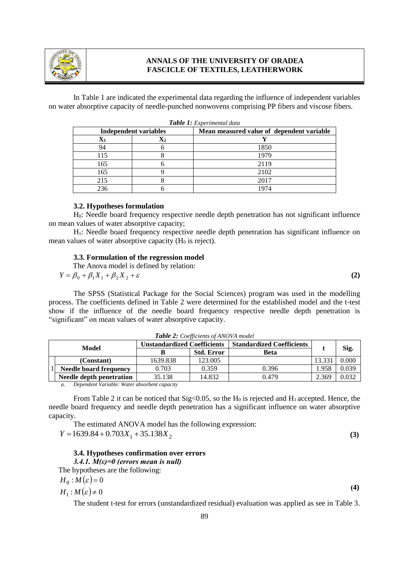

In Table 1 are indicated the experimental data regarding the influence of independent variables on water absorptive capacity of needle-punched nonwovens comprising PP fibers and viscose fibers.

| <b>Tuble 1:</b> <i>Experimental</i> agree                                 |                |      |  |  |
|---------------------------------------------------------------------------|----------------|------|--|--|
| <b>Independent variables</b><br>Mean measured value of dependent variable |                |      |  |  |
| $\mathbf{A}_1$                                                            | $\mathbf{A}_2$ |      |  |  |
| 94                                                                        |                | 1850 |  |  |
| 115                                                                       |                | 1979 |  |  |
| 165                                                                       |                | 2119 |  |  |
| 165                                                                       |                | 2102 |  |  |
| 215                                                                       |                | 2017 |  |  |
| 236                                                                       |                | 1974 |  |  |

| Table 1: Experimental data |  |
|----------------------------|--|
|----------------------------|--|

#### **3.2. Hypotheses formulation**

H0: Needle board frequency respective needle depth penetration has not significant influence on mean values of water absorptive capacity;

H1: Needle board frequency respective needle depth penetration has significant influence on mean values of water absorptive capacity  $(H_0 \text{ is reject}).$ 

#### **3.3. Formulation of the regression model**

The Anova model is defined by relation:

$$
Y = \beta_0 + \beta_1 X_1 + \beta_2 X_2 + \varepsilon
$$

The SPSS (Statistical Package for the Social Sciences) program was used in the modelling process. The coefficients defined in Table 2 were determined for the established model and the t-test show if the influence of the needle board frequency respective needle depth penetration is "significant" on mean values of water absorptive capacity.

**(2)**

| Model |                               | <b>Twell</b> $\boldsymbol{z}$ . Coefficients of the $\boldsymbol{y}$ of $\boldsymbol{z}$ model<br><b>Unstandardized Coefficients</b> |                   | <b>Standardized Coefficients</b> |       |       |
|-------|-------------------------------|--------------------------------------------------------------------------------------------------------------------------------------|-------------------|----------------------------------|-------|-------|
|       |                               |                                                                                                                                      | <b>Std. Error</b> | <b>Beta</b>                      |       | Sig.  |
|       | (Constant)                    | 1639.838                                                                                                                             | 123.005           |                                  |       | 0.000 |
|       | <b>Needle board frequency</b> | 0.703                                                                                                                                | 0.359             | 0.396                            | .958  | 0.039 |
|       | Needle depth penetration      | 35.138                                                                                                                               | 14.832            | 0.479                            | 2.369 | 0.032 |

|  | Table 2: Coefficients of ANOVA model |  |  |
|--|--------------------------------------|--|--|
|--|--------------------------------------|--|--|

*a. Dependent Variable: Water absorbent capacity*

From Table 2 it can be noticed that  $Sig<0.05$ , so the H<sub>0</sub> is rejected and H<sub>1</sub> accepted. Hence, the needle board frequency and needle depth penetration has a significant influence on water absorptive capacity.

The estimated ANOVA model has the following expression:  $Y = 1639.84 + 0.703X_1 + 35.138X_2$  (3)

### **3.4. Hypotheses confirmation over errors** *3.4.1. M(ε)=0 (errors mean is null)*

The hypotheses are the following:

 $H_0$ :  $M(\varepsilon) = 0$ 

 $H_1$ :  $M(\varepsilon) \neq 0$ 

The student t-test for errors (unstandardized residual) evaluation was applied as see in Table 3.

**(4)**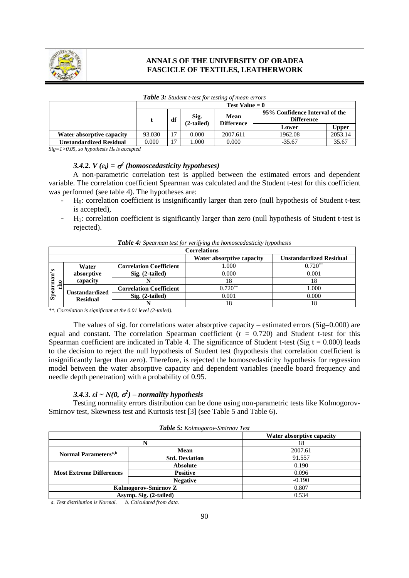

|                           |        | $Test Value = 0$ |                    |                           |                                                     |         |  |  |  |
|---------------------------|--------|------------------|--------------------|---------------------------|-----------------------------------------------------|---------|--|--|--|
|                           |        | df               | Sig.<br>(2-tailed) | Mean<br><b>Difference</b> | 95% Confidence Interval of the<br><b>Difference</b> |         |  |  |  |
|                           |        |                  |                    |                           | Lower                                               | Upper   |  |  |  |
| Water absorptive capacity | 93.030 | 17               | 0.000              | 2007.611                  | 1962.08                                             | 2053.14 |  |  |  |
| Unstandardized Residual   | 0.000  | 17               | .000               | 0.000                     | $-35.67$                                            | 35.67   |  |  |  |

| <b>Table 3:</b> Student t-test for testing of mean errors |  |  |  |
|-----------------------------------------------------------|--|--|--|
|                                                           |  |  |  |

*Sig=1>0.05, so hypothesis H<sup>0</sup> is accepted*

# 3.4.2.  $V(\varepsilon_i) = \sigma^2$  (homoscedasticity hypotheses)

A non-parametric correlation test is applied between the estimated errors and dependent variable. The correlation coefficient Spearman was calculated and the Student t-test for this coefficient was performed (see table 4). The hypotheses are:

- H0: correlation coefficient is insignificantly larger than zero (null hypothesis of Student t-test is accepted),
- H<sub>1</sub>: correlation coefficient is significantly larger than zero (null hypothesis of Student t-test is rejected).

|        | Correlations                                                |                                |           |           |  |  |  |
|--------|-------------------------------------------------------------|--------------------------------|-----------|-----------|--|--|--|
|        | <b>Unstandardized Residual</b><br>Water absorptive capacity |                                |           |           |  |  |  |
|        | Water                                                       | <b>Correlation Coefficient</b> | 1.000     | $0.720**$ |  |  |  |
| s<br>ு | absorptive                                                  | $Sig. (2-tailed)$              | 0.000     | 0.001     |  |  |  |
| ∾<br>0 | capacity                                                    |                                | 18        | 18        |  |  |  |
| τ      | <b>Unstandardized</b>                                       | <b>Correlation Coefficient</b> | $0.720**$ | 1.000     |  |  |  |
| Spearm |                                                             | Sig. (2-tailed)                | 0.001     | 0.000     |  |  |  |
|        | <b>Residual</b>                                             |                                | 18        | 18        |  |  |  |

*Table 4: Spearman test for verifying the homoscedasticity hypothesis*

*\*\*. Correlation is significant at the 0.01 level (2-tailed).*

The values of sig. for correlations water absorptive capacity – estimated errors ( $Sig=0.000$ ) are equal and constant. The correlation Spearman coefficient  $(r = 0.720)$  and Student t-test for this Spearman coefficient are indicated in Table 4. The significance of Student t-test (Sig  $t = 0.000$ ) leads to the decision to reject the null hypothesis of Student test (hypothesis that correlation coefficient is insignificantly larger than zero). Therefore, is rejected the homoscedasticity hypothesis for regression model between the water absorptive capacity and dependent variables (needle board frequency and needle depth penetration) with a probability of 0.95.

# **3.4.3.**  $\boldsymbol{\varepsilon}$ **i**  $\sim N(0, \sigma^2)$  – normality hypothesis

Testing normality errors distribution can be done using non-parametric tests like Kolmogorov-Smirnov test, Skewness test and Kurtosis test [3] (see Table 5 and Table 6).

|                                  |                        | Water absorptive capacity |
|----------------------------------|------------------------|---------------------------|
|                                  |                        | 18                        |
| Normal Parameters <sup>a,b</sup> | Mean                   | 2007.61                   |
|                                  | <b>Std. Deviation</b>  | 91.557                    |
|                                  | <b>Absolute</b>        | 0.190                     |
| <b>Most Extreme Differences</b>  | <b>Positive</b>        | 0.096                     |
|                                  | <b>Negative</b>        | $-0.190$                  |
| Kolmogorov-Smirnov Z             |                        | 0.807                     |
|                                  | Asymp. Sig. (2-tailed) | 0.534                     |

|  | Table 5: Kolmogorov-Smirnov Test |  |
|--|----------------------------------|--|
|--|----------------------------------|--|

*a. Test distribution is Normal. b. Calculated from data.*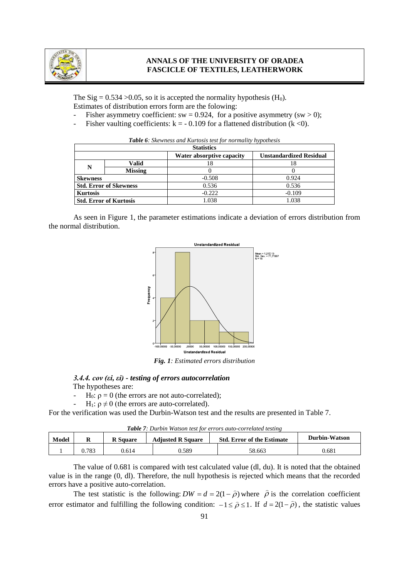

The Sig =  $0.534 > 0.05$ , so it is accepted the normality hypothesis (H<sub>0</sub>). Estimates of distribution errors form are the folowing:

- Fisher asymmetry coefficient: sw = 0.924, for a positive asymmetry (sw  $> 0$ );
- Fisher vaulting coefficients:  $k = -0.109$  for a flattened distribution (k <0).

| <b>Statistics</b>             |                               |                           |                                |  |  |  |
|-------------------------------|-------------------------------|---------------------------|--------------------------------|--|--|--|
|                               |                               | Water absorptive capacity | <b>Unstandardized Residual</b> |  |  |  |
| N                             | Valid                         |                           |                                |  |  |  |
|                               | <b>Missing</b>                |                           |                                |  |  |  |
| <b>Skewness</b>               |                               | $-0.508$                  | 0.924                          |  |  |  |
| <b>Std. Error of Skewness</b> |                               | 0.536                     | 0.536                          |  |  |  |
| <b>Kurtosis</b>               |                               | $-0.222$                  | $-0.109$                       |  |  |  |
|                               | <b>Std. Error of Kurtosis</b> | .038                      | 0.038                          |  |  |  |

| Table 6: Skewness and Kurtosis test for normality hypothesis |  |  |
|--------------------------------------------------------------|--|--|
|--------------------------------------------------------------|--|--|

As seen in Figure 1, the parameter estimations indicate a deviation of errors distribution from the normal distribution.



*Fig. 1: Estimated errors distribution*

*3.4.4. cov (εi, εi) - testing of errors autocorrelation* The hypotheses are:

- H<sub>0</sub>:  $\rho = 0$  (the errors are not auto-correlated);<br>- H<sub>1</sub>:  $\rho \neq 0$  (the errors are auto-correlated).

 $H_1$ :  $ρ ≠ 0$  (the errors are auto-correlated).

For the verification was used the Durbin-Watson test and the results are presented in Table 7.

*Table 7: Durbin Watson test for errors auto-correlated testing*

| Model |       | <b>R</b> Square | <b>Adjusted R Square</b> | <b>Std. Error of the Estimate</b> | Durbin-Watson |
|-------|-------|-----------------|--------------------------|-----------------------------------|---------------|
|       | 0.783 | 0.614           | 589.ر                    | 58.663                            | 0.681         |

The value of 0.681 is compared with test calculated value (dl, du). It is noted that the obtained value is in the range (0, dl). Therefore, the null hypothesis is rejected which means that the recorded errors have a positive auto-correlation.

The test statistic is the following:  $DW = d = 2(1 - \hat{\rho})$  where  $\hat{\rho}$  is the correlation coefficient error estimator and fulfilling the following condition:  $-1 \le \hat{\rho} \le 1$ . If  $d = 2(1-\hat{\rho})$ , the statistic values